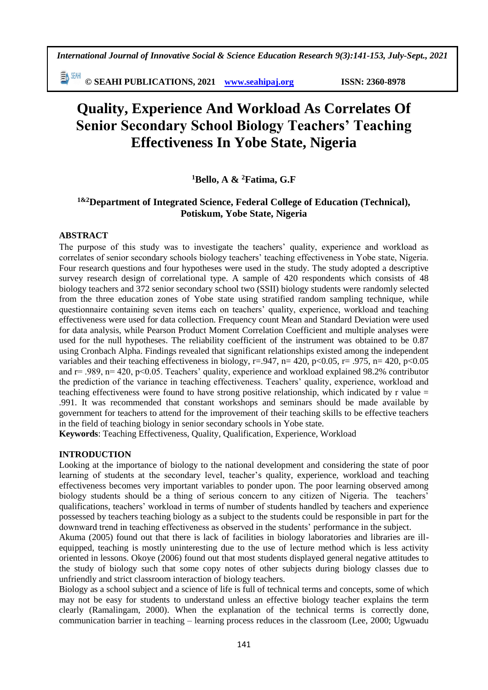**© SEAHI PUBLICATIONS, 2021 [www.seahipaj.org](http://www.seahipaj.org/) ISSN: 2360-8978**

# **Quality, Experience And Workload As Correlates Of Senior Secondary School Biology Teachers' Teaching Effectiveness In Yobe State, Nigeria**

# **<sup>1</sup>Bello, A & <sup>2</sup>Fatima, G.F**

# **1&2Department of Integrated Science, Federal College of Education (Technical), Potiskum, Yobe State, Nigeria**

#### **ABSTRACT**

The purpose of this study was to investigate the teachers' quality, experience and workload as correlates of senior secondary schools biology teachers' teaching effectiveness in Yobe state, Nigeria. Four research questions and four hypotheses were used in the study. The study adopted a descriptive survey research design of correlational type. A sample of 420 respondents which consists of 48 biology teachers and 372 senior secondary school two (SSII) biology students were randomly selected from the three education zones of Yobe state using stratified random sampling technique, while questionnaire containing seven items each on teachers' quality, experience, workload and teaching effectiveness were used for data collection. Frequency count Mean and Standard Deviation were used for data analysis, while Pearson Product Moment Correlation Coefficient and multiple analyses were used for the null hypotheses. The reliability coefficient of the instrument was obtained to be 0.87 using Cronbach Alpha. Findings revealed that significant relationships existed among the independent variables and their teaching effectiveness in biology, r=.947, n= 420, p<0.05, r= .975, n= 420, p<0.05 and r= .989, n= 420, p<0.05. Teachers' quality, experience and workload explained 98.2% contributor the prediction of the variance in teaching effectiveness. Teachers' quality, experience, workload and teaching effectiveness were found to have strong positive relationship, which indicated by r value = .991. It was recommended that constant workshops and seminars should be made available by government for teachers to attend for the improvement of their teaching skills to be effective teachers in the field of teaching biology in senior secondary schools in Yobe state.

**Keywords**: Teaching Effectiveness, Quality, Qualification, Experience, Workload

### **INTRODUCTION**

Looking at the importance of biology to the national development and considering the state of poor learning of students at the secondary level, teacher's quality, experience, workload and teaching effectiveness becomes very important variables to ponder upon. The poor learning observed among biology students should be a thing of serious concern to any citizen of Nigeria. The teachers' qualifications, teachers' workload in terms of number of students handled by teachers and experience possessed by teachers teaching biology as a subject to the students could be responsible in part for the downward trend in teaching effectiveness as observed in the students' performance in the subject.

Akuma (2005) found out that there is lack of facilities in biology laboratories and libraries are illequipped, teaching is mostly uninteresting due to the use of lecture method which is less activity oriented in lessons. Okoye (2006) found out that most students displayed general negative attitudes to the study of biology such that some copy notes of other subjects during biology classes due to unfriendly and strict classroom interaction of biology teachers.

Biology as a school subject and a science of life is full of technical terms and concepts, some of which may not be easy for students to understand unless an effective biology teacher explains the term clearly (Ramalingam, 2000). When the explanation of the technical terms is correctly done, communication barrier in teaching – learning process reduces in the classroom (Lee, 2000; Ugwuadu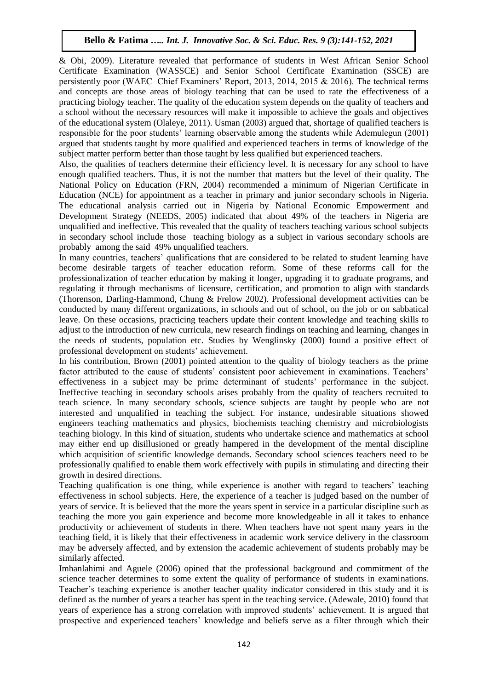& Obi, 2009). Literature revealed that performance of students in West African Senior School Certificate Examination (WASSCE) and Senior School Certificate Examination (SSCE) are persistently poor (WAEC Chief Examiners' Report, 2013, 2014, 2015 & 2016). The technical terms and concepts are those areas of biology teaching that can be used to rate the effectiveness of a practicing biology teacher. The quality of the education system depends on the quality of teachers and a school without the necessary resources will make it impossible to achieve the goals and objectives of the educational system (Olaleye, 2011). Usman (2003) argued that, shortage of qualified teachers is responsible for the poor students' learning observable among the students while Ademulegun (2001) argued that students taught by more qualified and experienced teachers in terms of knowledge of the subject matter perform better than those taught by less qualified but experienced teachers.

Also, the qualities of teachers determine their efficiency level. It is necessary for any school to have enough qualified teachers. Thus, it is not the number that matters but the level of their quality. The National Policy on Education (FRN, 2004) recommended a minimum of Nigerian Certificate in Education (NCE) for appointment as a teacher in primary and junior secondary schools in Nigeria. The educational analysis carried out in Nigeria by National Economic Empowerment and Development Strategy (NEEDS, 2005) indicated that about 49% of the teachers in Nigeria are unqualified and ineffective. This revealed that the quality of teachers teaching various school subjects in secondary school include those teaching biology as a subject in various secondary schools are probably among the said 49% unqualified teachers.

In many countries, teachers' qualifications that are considered to be related to student learning have become desirable targets of teacher education reform. Some of these reforms call for the professionalization of teacher education by making it longer, upgrading it to graduate programs, and regulating it through mechanisms of licensure, certification, and promotion to align with standards (Thorenson, Darling-Hammond, Chung & Frelow 2002). Professional development activities can be conducted by many different organizations, in schools and out of school, on the job or on sabbatical leave. On these occasions, practicing teachers update their content knowledge and teaching skills to adjust to the introduction of new curricula, new research findings on teaching and learning, changes in the needs of students, population etc. Studies by Wenglinsky (2000) found a positive effect of professional development on students' achievement.

In his contribution, Brown (2001) pointed attention to the quality of biology teachers as the prime factor attributed to the cause of students' consistent poor achievement in examinations. Teachers' effectiveness in a subject may be prime determinant of students' performance in the subject. Ineffective teaching in secondary schools arises probably from the quality of teachers recruited to teach science. In many secondary schools, science subjects are taught by people who are not interested and unqualified in teaching the subject. For instance, undesirable situations showed engineers teaching mathematics and physics, biochemists teaching chemistry and microbiologists teaching biology. In this kind of situation, students who undertake science and mathematics at school may either end up disillusioned or greatly hampered in the development of the mental discipline which acquisition of scientific knowledge demands. Secondary school sciences teachers need to be professionally qualified to enable them work effectively with pupils in stimulating and directing their growth in desired directions.

Teaching qualification is one thing, while experience is another with regard to teachers' teaching effectiveness in school subjects. Here, the experience of a teacher is judged based on the number of years of service. It is believed that the more the years spent in service in a particular discipline such as teaching the more you gain experience and become more knowledgeable in all it takes to enhance productivity or achievement of students in there. When teachers have not spent many years in the teaching field, it is likely that their effectiveness in academic work service delivery in the classroom may be adversely affected, and by extension the academic achievement of students probably may be similarly affected.

Imhanlahimi and Aguele (2006) opined that the professional background and commitment of the science teacher determines to some extent the quality of performance of students in examinations. Teacher's teaching experience is another teacher quality indicator considered in this study and it is defined as the number of years a teacher has spent in the teaching service. (Adewale, 2010) found that years of experience has a strong correlation with improved students' achievement. It is argued that prospective and experienced teachers' knowledge and beliefs serve as a filter through which their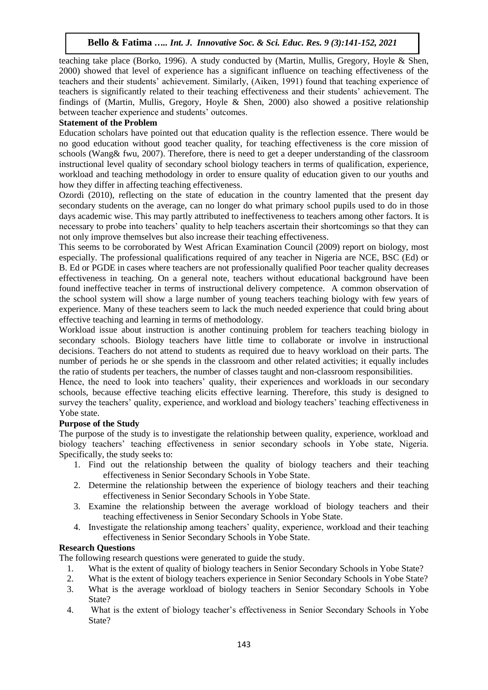teaching take place (Borko, 1996). A study conducted by (Martin, Mullis, Gregory, Hoyle & Shen, 2000) showed that level of experience has a significant influence on teaching effectiveness of the teachers and their students' achievement. Similarly, (Aiken, 1991) found that teaching experience of teachers is significantly related to their teaching effectiveness and their students' achievement. The findings of (Martin, Mullis, Gregory, Hoyle & Shen, 2000) also showed a positive relationship between teacher experience and students' outcomes.

# **Statement of the Problem**

Education scholars have pointed out that education quality is the reflection essence. There would be no good education without good teacher quality, for teaching effectiveness is the core mission of schools (Wang& fwu, 2007). Therefore, there is need to get a deeper understanding of the classroom instructional level quality of secondary school biology teachers in terms of qualification, experience, workload and teaching methodology in order to ensure quality of education given to our youths and how they differ in affecting teaching effectiveness.

Ozordi (2010), reflecting on the state of education in the country lamented that the present day secondary students on the average, can no longer do what primary school pupils used to do in those days academic wise. This may partly attributed to ineffectiveness to teachers among other factors. It is necessary to probe into teachers' quality to help teachers ascertain their shortcomings so that they can not only improve themselves but also increase their teaching effectiveness.

This seems to be corroborated by West African Examination Council (2009) report on biology, most especially. The professional qualifications required of any teacher in Nigeria are NCE, BSC (Ed) or B. Ed or PGDE in cases where teachers are not professionally qualified Poor teacher quality decreases effectiveness in teaching. On a general note, teachers without educational background have been found ineffective teacher in terms of instructional delivery competence. A common observation of the school system will show a large number of young teachers teaching biology with few years of experience. Many of these teachers seem to lack the much needed experience that could bring about effective teaching and learning in terms of methodology.

Workload issue about instruction is another continuing problem for teachers teaching biology in secondary schools. Biology teachers have little time to collaborate or involve in instructional decisions. Teachers do not attend to students as required due to heavy workload on their parts. The number of periods he or she spends in the classroom and other related activities; it equally includes the ratio of students per teachers, the number of classes taught and non-classroom responsibilities.

Hence, the need to look into teachers' quality, their experiences and workloads in our secondary schools, because effective teaching elicits effective learning. Therefore, this study is designed to survey the teachers' quality, experience, and workload and biology teachers' teaching effectiveness in Yobe state.

# **Purpose of the Study**

The purpose of the study is to investigate the relationship between quality, experience, workload and biology teachers' teaching effectiveness in senior secondary schools in Yobe state, Nigeria. Specifically, the study seeks to:

- 1. Find out the relationship between the quality of biology teachers and their teaching effectiveness in Senior Secondary Schools in Yobe State.
- 2. Determine the relationship between the experience of biology teachers and their teaching effectiveness in Senior Secondary Schools in Yobe State.
- 3. Examine the relationship between the average workload of biology teachers and their teaching effectiveness in Senior Secondary Schools in Yobe State.
- 4. Investigate the relationship among teachers' quality, experience, workload and their teaching effectiveness in Senior Secondary Schools in Yobe State.

# **Research Questions**

The following research questions were generated to guide the study.

- 1. What is the extent of quality of biology teachers in Senior Secondary Schools in Yobe State?
- 2. What is the extent of biology teachers experience in Senior Secondary Schools in Yobe State?
- 3. What is the average workload of biology teachers in Senior Secondary Schools in Yobe State?
- 4. What is the extent of biology teacher's effectiveness in Senior Secondary Schools in Yobe State?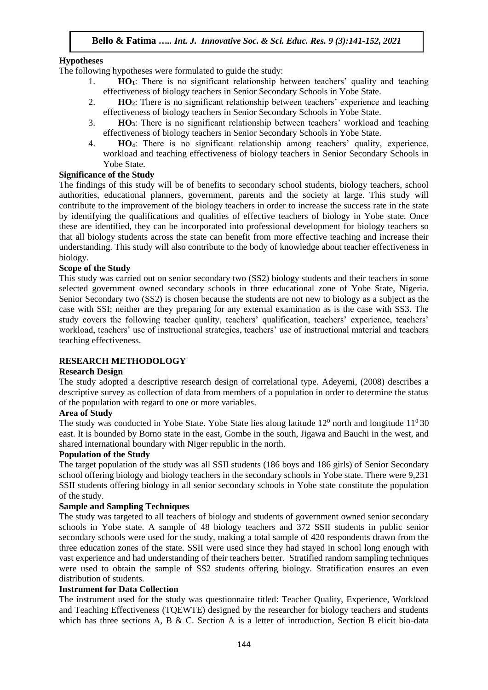# **Hypotheses**

The following hypotheses were formulated to guide the study:

- 1. **HO1**: There is no significant relationship between teachers' quality and teaching effectiveness of biology teachers in Senior Secondary Schools in Yobe State.
- 2. **HO2**: There is no significant relationship between teachers' experience and teaching effectiveness of biology teachers in Senior Secondary Schools in Yobe State.
- 3. **HO3**: There is no significant relationship between teachers' workload and teaching effectiveness of biology teachers in Senior Secondary Schools in Yobe State.
- 4. **HO4**: There is no significant relationship among teachers' quality, experience, workload and teaching effectiveness of biology teachers in Senior Secondary Schools in Yobe State.

### **Significance of the Study**

The findings of this study will be of benefits to secondary school students, biology teachers, school authorities, educational planners, government, parents and the society at large. This study will contribute to the improvement of the biology teachers in order to increase the success rate in the state by identifying the qualifications and qualities of effective teachers of biology in Yobe state. Once these are identified, they can be incorporated into professional development for biology teachers so that all biology students across the state can benefit from more effective teaching and increase their understanding. This study will also contribute to the body of knowledge about teacher effectiveness in biology.

#### **Scope of the Study**

This study was carried out on senior secondary two (SS2) biology students and their teachers in some selected government owned secondary schools in three educational zone of Yobe State, Nigeria. Senior Secondary two (SS2) is chosen because the students are not new to biology as a subject as the case with SSI; neither are they preparing for any external examination as is the case with SS3. The study covers the following teacher quality, teachers' qualification, teachers' experience, teachers' workload, teachers' use of instructional strategies, teachers' use of instructional material and teachers teaching effectiveness.

### **RESEARCH METHODOLOGY**

### **Research Design**

The study adopted a descriptive research design of correlational type. Adeyemi, (2008) describes a descriptive survey as collection of data from members of a population in order to determine the status of the population with regard to one or more variables.

# **Area of Study**

The study was conducted in Yobe State. Yobe State lies along latitude  $12<sup>0</sup>$  north and longitude  $11<sup>0</sup>30$ east. It is bounded by Borno state in the east, Gombe in the south, Jigawa and Bauchi in the west, and shared international boundary with Niger republic in the north.

#### **Population of the Study**

The target population of the study was all SSII students (186 boys and 186 girls) of Senior Secondary school offering biology and biology teachers in the secondary schools in Yobe state. There were 9,231 SSII students offering biology in all senior secondary schools in Yobe state constitute the population of the study.

### **Sample and Sampling Techniques**

The study was targeted to all teachers of biology and students of government owned senior secondary schools in Yobe state. A sample of 48 biology teachers and 372 SSII students in public senior secondary schools were used for the study, making a total sample of 420 respondents drawn from the three education zones of the state. SSII were used since they had stayed in school long enough with vast experience and had understanding of their teachers better. Stratified random sampling techniques were used to obtain the sample of SS2 students offering biology. Stratification ensures an even distribution of students.

#### **Instrument for Data Collection**

The instrument used for the study was questionnaire titled: Teacher Quality, Experience, Workload and Teaching Effectiveness (TQEWTE) designed by the researcher for biology teachers and students which has three sections A, B & C. Section A is a letter of introduction, Section B elicit bio-data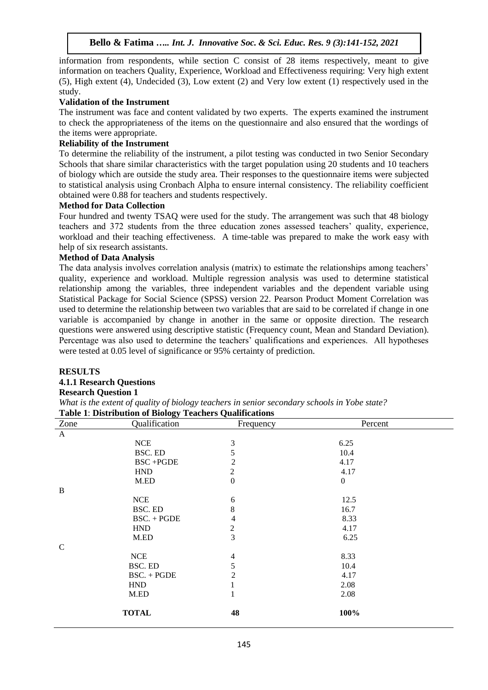information from respondents, while section C consist of 28 items respectively, meant to give information on teachers Quality, Experience, Workload and Effectiveness requiring: Very high extent (5), High extent (4), Undecided (3), Low extent (2) and Very low extent (1) respectively used in the study.

# **Validation of the Instrument**

The instrument was face and content validated by two experts. The experts examined the instrument to check the appropriateness of the items on the questionnaire and also ensured that the wordings of the items were appropriate.

# **Reliability of the Instrument**

To determine the reliability of the instrument, a pilot testing was conducted in two Senior Secondary Schools that share similar characteristics with the target population using 20 students and 10 teachers of biology which are outside the study area. Their responses to the questionnaire items were subjected to statistical analysis using Cronbach Alpha to ensure internal consistency. The reliability coefficient obtained were 0.88 for teachers and students respectively.

### **Method for Data Collection**

Four hundred and twenty TSAQ were used for the study. The arrangement was such that 48 biology teachers and 372 students from the three education zones assessed teachers' quality, experience, workload and their teaching effectiveness. A time-table was prepared to make the work easy with help of six research assistants.

# **Method of Data Analysis**

The data analysis involves correlation analysis (matrix) to estimate the relationships among teachers' quality, experience and workload. Multiple regression analysis was used to determine statistical relationship among the variables, three independent variables and the dependent variable using Statistical Package for Social Science (SPSS) version 22. Pearson Product Moment Correlation was used to determine the relationship between two variables that are said to be correlated if change in one variable is accompanied by change in another in the same or opposite direction. The research questions were answered using descriptive statistic (Frequency count, Mean and Standard Deviation). Percentage was also used to determine the teachers' qualifications and experiences. All hypotheses were tested at 0.05 level of significance or 95% certainty of prediction.

#### **RESULTS**

#### **4.1.1 Research Questions Research Question 1**

*What is the extent of quality of biology teachers in senior secondary schools in Yobe state?*

#### **Table 1**: **Distribution of Biology Teachers Qualifications**

| Zone          | ----- <del>o</del> j<br>Qualification | Frequency        | Percent          |  |
|---------------|---------------------------------------|------------------|------------------|--|
| $\mathbf{A}$  |                                       |                  |                  |  |
|               | NCE                                   | $\mathfrak{Z}$   | 6.25             |  |
|               | BSC. ED                               | 5                | 10.4             |  |
|               | <b>BSC+PGDE</b>                       | $\mathfrak{2}$   | 4.17             |  |
|               | <b>HND</b>                            | $\sqrt{2}$       | 4.17             |  |
|               | M.ED                                  | $\boldsymbol{0}$ | $\boldsymbol{0}$ |  |
| B             |                                       |                  |                  |  |
|               | NCE                                   | 6                | 12.5             |  |
|               | BSC. ED                               | 8                | 16.7             |  |
|               | $BSC. + PGDE$                         | $\overline{4}$   | 8.33             |  |
|               | <b>HND</b>                            | $\mathfrak{2}$   | 4.17             |  |
|               | M.ED                                  | $\mathfrak{Z}$   | 6.25             |  |
| $\mathcal{C}$ |                                       |                  |                  |  |
|               | <b>NCE</b>                            | 4                | 8.33             |  |
|               | BSC. ED                               | 5                | 10.4             |  |
|               | $BSC. + PGDE$                         | 2                | 4.17             |  |
|               | <b>HND</b>                            | $\mathbf{r}$     | 2.08             |  |
|               | M.ED                                  |                  | 2.08             |  |
|               | <b>TOTAL</b>                          | 48               | 100%             |  |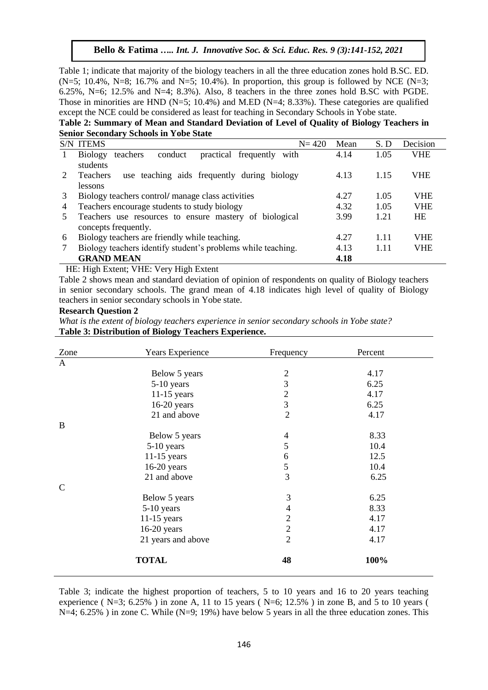Table 1; indicate that majority of the biology teachers in all the three education zones hold B.SC. ED.  $(N=5; 10.4\%, N=8; 16.7\%$  and N=5; 10.4%). In proportion, this group is followed by NCE (N=3; 6.25%, N=6; 12.5% and N=4; 8.3%). Also, 8 teachers in the three zones hold B.SC with PGDE. Those in minorities are HND ( $N=5$ ; 10.4%) and M.ED ( $N=4$ ; 8.33%). These categories are qualified except the NCE could be considered as least for teaching in Secondary Schools in Yobe state.

**Table 2: Summary of Mean and Standard Deviation of Level of Quality of Biology Teachers in Senior Secondary Schools in Yobe State**

|   | <b>S/N ITEMS</b><br>$N = 420$                                                                                                  | Mean | S.D  | Decision   |
|---|--------------------------------------------------------------------------------------------------------------------------------|------|------|------------|
|   | <b>Biology</b><br>frequently<br>teachers<br>conduct<br>practical<br>with                                                       | 4.14 | 1.05 | VHE        |
|   | students                                                                                                                       |      |      |            |
| 2 | <b>Teachers</b><br>use teaching aids frequently during biology                                                                 | 4.13 | 1.15 | VHE        |
|   | lessons                                                                                                                        |      |      |            |
| 3 | Biology teachers control/manage class activities                                                                               | 4.27 | 1.05 | <b>VHE</b> |
| 4 | Teachers encourage students to study biology                                                                                   | 4.32 | 1.05 | <b>VHE</b> |
|   | Teachers use resources to ensure mastery of biological                                                                         | 3.99 | 1.21 | <b>HE</b>  |
|   | concepts frequently.                                                                                                           |      |      |            |
| 6 | Biology teachers are friendly while teaching.                                                                                  | 4.27 | 1.11 | <b>VHE</b> |
|   | Biology teachers identify student's problems while teaching.                                                                   | 4.13 | 1.11 | <b>VHE</b> |
|   | <b>GRAND MEAN</b>                                                                                                              | 4.18 |      |            |
|   | $\mathbf{v}$ , $\mathbf{v}$ , $\mathbf{v}$ , $\mathbf{v}$ , $\mathbf{v}$ , $\mathbf{v}$ , $\mathbf{v}$<br>TTP TT' 1 PL TTTP TT |      |      |            |

#### HE: High Extent; VHE: Very High Extent

Table 2 shows mean and standard deviation of opinion of respondents on quality of Biology teachers in senior secondary schools. The grand mean of 4.18 indicates high level of quality of Biology teachers in senior secondary schools in Yobe state.

#### **Research Question 2**

*What is the extent of biology teachers experience in senior secondary schools in Yobe state?* **Table 3: Distribution of Biology Teachers Experience.**

| Zone          | Years Experience   | Frequency      | Percent |  |
|---------------|--------------------|----------------|---------|--|
| $\mathbf{A}$  |                    |                |         |  |
|               | Below 5 years      | $\mathbf{2}$   | 4.17    |  |
|               | 5-10 years         | $\mathfrak{Z}$ | 6.25    |  |
|               | $11-15$ years      | $\mathbf{2}$   | 4.17    |  |
|               | $16-20$ years      | 3              | 6.25    |  |
|               | 21 and above       | $\overline{2}$ | 4.17    |  |
| $\bf{B}$      |                    |                |         |  |
|               | Below 5 years      | $\overline{4}$ | 8.33    |  |
|               | 5-10 years         | 5              | 10.4    |  |
|               | $11-15$ years      | 6              | 12.5    |  |
|               | $16-20$ years      | $\mathfrak{S}$ | 10.4    |  |
|               | 21 and above       | 3              | 6.25    |  |
| $\mathcal{C}$ |                    |                |         |  |
|               | Below 5 years      | 3              | 6.25    |  |
|               | 5-10 years         | $\overline{4}$ | 8.33    |  |
|               | $11-15$ years      | $\mathbf{2}$   | 4.17    |  |
|               | $16-20$ years      | $\overline{2}$ | 4.17    |  |
|               | 21 years and above | $\overline{2}$ | 4.17    |  |
|               | <b>TOTAL</b>       | 48             | 100%    |  |

Table 3; indicate the highest proportion of teachers, 5 to 10 years and 16 to 20 years teaching experience ( $N=3$ ; 6.25%) in zone A, 11 to 15 years ( $N=6$ ; 12.5%) in zone B, and 5 to 10 years ( N=4; 6.25% ) in zone C. While (N=9; 19%) have below 5 years in all the three education zones. This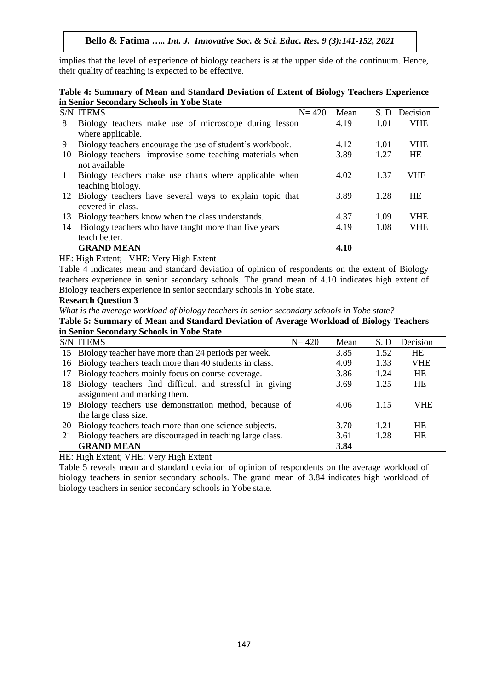implies that the level of experience of biology teachers is at the upper side of the continuum. Hence, their quality of teaching is expected to be effective.

|                                           | Table 4: Summary of Mean and Standard Deviation of Extent of Biology Teachers Experience |
|-------------------------------------------|------------------------------------------------------------------------------------------|
| in Senior Secondary Schools in Yobe State |                                                                                          |

|    | <b>S/N ITEMS</b><br>$N = 420$                               | Mean | S.D  | Decision   |
|----|-------------------------------------------------------------|------|------|------------|
| 8  | Biology teachers make use of microscope during lesson       | 4.19 | 1.01 | <b>VHE</b> |
|    | where applicable.                                           |      |      |            |
| 9  | Biology teachers encourage the use of student's workbook.   | 4.12 | 1.01 | <b>VHE</b> |
| 10 | Biology teachers improvise some teaching materials when     | 3.89 | 1.27 | <b>HE</b>  |
|    | not available                                               |      |      |            |
|    | 11 Biology teachers make use charts where applicable when   | 4.02 | 1.37 | VHE        |
|    | teaching biology.                                           |      |      |            |
|    | 12 Biology teachers have several ways to explain topic that | 3.89 | 1.28 | <b>HE</b>  |
|    | covered in class.                                           |      |      |            |
| 13 | Biology teachers know when the class understands.           | 4.37 | 1.09 | <b>VHE</b> |
| 14 | Biology teachers who have taught more than five years       | 4.19 | 1.08 | <b>VHE</b> |
|    | teach better.                                               |      |      |            |
|    | <b>GRAND MEAN</b>                                           | 4.10 |      |            |

HE: High Extent; VHE: Very High Extent

Table 4 indicates mean and standard deviation of opinion of respondents on the extent of Biology teachers experience in senior secondary schools. The grand mean of 4.10 indicates high extent of Biology teachers experience in senior secondary schools in Yobe state.

# **Research Question 3**

*What is the average workload of biology teachers in senior secondary schools in Yobe state?*

| Table 5: Summary of Mean and Standard Deviation of Average Workload of Biology Teachers |  |
|-----------------------------------------------------------------------------------------|--|
| in Senior Secondary Schools in Yobe State                                               |  |

|    | in behior becondul y behools in 1 obe built                |           |      |      |            |
|----|------------------------------------------------------------|-----------|------|------|------------|
|    | <b>S/N ITEMS</b>                                           | $N = 420$ | Mean | S.D  | Decision   |
|    | 15 Biology teacher have more than 24 periods per week.     |           | 3.85 | 1.52 | <b>HE</b>  |
|    | 16 Biology teachers teach more than 40 students in class.  |           | 4.09 | 1.33 | VHE        |
| 17 | Biology teachers mainly focus on course coverage.          |           | 3.86 | 1.24 | <b>HE</b>  |
|    | 18 Biology teachers find difficult and stressful in giving |           | 3.69 | 1.25 | <b>HE</b>  |
|    | assignment and marking them.                               |           |      |      |            |
|    | 19 Biology teachers use demonstration method, because of   |           | 4.06 | 1.15 | <b>VHE</b> |
|    | the large class size.                                      |           |      |      |            |
|    | 20 Biology teachers teach more than one science subjects.  |           | 3.70 | 1.21 | <b>HE</b>  |
| 21 | Biology teachers are discouraged in teaching large class.  |           | 3.61 | 1.28 | <b>HE</b>  |
|    | <b>GRAND MEAN</b>                                          |           | 3.84 |      |            |

HE: High Extent; VHE: Very High Extent

Table 5 reveals mean and standard deviation of opinion of respondents on the average workload of biology teachers in senior secondary schools. The grand mean of 3.84 indicates high workload of biology teachers in senior secondary schools in Yobe state.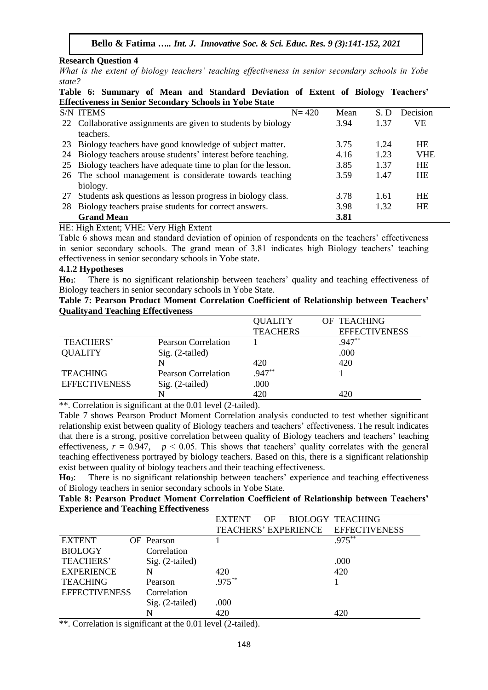# **Research Question 4**

*What is the extent of biology teachers' teaching effectiveness in senior secondary schools in Yobe state?*

#### **Table 6: Summary of Mean and Standard Deviation of Extent of Biology Teachers' Effectiveness in Senior Secondary Schools in Yobe State**

|    | miteen, eness in senior secondary senools in 1000 same         |           |      |      |            |
|----|----------------------------------------------------------------|-----------|------|------|------------|
|    | <b>S/N ITEMS</b>                                               | $N = 420$ | Mean | S. D | Decision   |
|    | 22 Collaborative assignments are given to students by biology  |           | 3.94 | 1.37 | VЕ         |
|    | teachers.                                                      |           |      |      |            |
|    | 23 Biology teachers have good knowledge of subject matter.     |           | 3.75 | 1.24 | <b>HE</b>  |
|    | 24 Biology teachers arouse students' interest before teaching. |           | 4.16 | 1.23 | <b>VHE</b> |
|    | 25 Biology teachers have adequate time to plan for the lesson. |           | 3.85 | 1.37 | <b>HE</b>  |
|    | 26 The school management is considerate towards teaching       |           | 3.59 | 1.47 | <b>HE</b>  |
|    | biology.                                                       |           |      |      |            |
| 27 | Students ask questions as lesson progress in biology class.    |           | 3.78 | 1.61 | <b>HE</b>  |
| 28 | Biology teachers praise students for correct answers.          |           | 3.98 | 1.32 | <b>HE</b>  |
|    | <b>Grand Mean</b>                                              |           | 3.81 |      |            |

# HE: High Extent; VHE: Very High Extent

Table 6 shows mean and standard deviation of opinion of respondents on the teachers' effectiveness in senior secondary schools. The grand mean of 3.81 indicates high Biology teachers' teaching effectiveness in senior secondary schools in Yobe state.

# **4.1.2 Hypotheses**

**Ho1**: There is no significant relationship between teachers' quality and teaching effectiveness of Biology teachers in senior secondary schools in Yobe State.

# **Table 7: Pearson Product Moment Correlation Coefficient of Relationship between Teachers' Qualityand Teaching Effectiveness**

|                      |                            | <b>QUALITY</b>  | OF TEACHING          |
|----------------------|----------------------------|-----------------|----------------------|
|                      |                            | <b>TEACHERS</b> | <b>EFFECTIVENESS</b> |
| TEACHERS'            | <b>Pearson Correlation</b> |                 | $.947**$             |
| <b>QUALITY</b>       | $Sig. (2-tailed)$          |                 | .000                 |
|                      | N                          | 420             | 420                  |
| <b>TEACHING</b>      | <b>Pearson Correlation</b> | $.947**$        |                      |
| <b>EFFECTIVENESS</b> | $Sig. (2-tailed)$          | .000            |                      |
|                      |                            | 420             | 420                  |

\*\*. Correlation is significant at the 0.01 level (2-tailed).

Table 7 shows Pearson Product Moment Correlation analysis conducted to test whether significant relationship exist between quality of Biology teachers and teachers' effectiveness. The result indicates that there is a strong, positive correlation between quality of Biology teachers and teachers' teaching effectiveness,  $r = 0.947$ ,  $p < 0.05$ . This shows that teachers' quality correlates with the general teaching effectiveness portrayed by biology teachers. Based on this, there is a significant relationship exist between quality of biology teachers and their teaching effectiveness.

**Ho2**: There is no significant relationship between teachers' experience and teaching effectiveness of Biology teachers in senior secondary schools in Yobe State.

# **Table 8: Pearson Product Moment Correlation Coefficient of Relationship between Teachers' Experience and Teaching Effectiveness**

|                      |                 | <b>EXTENT</b>        | <b>OF</b> | <b>BIOLOGY TEACHING</b> |
|----------------------|-----------------|----------------------|-----------|-------------------------|
|                      |                 | TEACHERS' EXPERIENCE |           | <b>EFFECTIVENESS</b>    |
| <b>EXTENT</b>        | OF Pearson      |                      |           | $.975***$               |
| <b>BIOLOGY</b>       | Correlation     |                      |           |                         |
| <b>TEACHERS'</b>     | Sig. (2-tailed) |                      |           | .000                    |
| <b>EXPERIENCE</b>    | N               | 420                  |           | 420                     |
| <b>TEACHING</b>      | Pearson         | $.975***$            |           |                         |
| <b>EFFECTIVENESS</b> | Correlation     |                      |           |                         |
|                      | Sig. (2-tailed) | .000                 |           |                         |
|                      | N               | 420                  |           | 420                     |

 $**$ . Correlation is significant at the 0.01 level (2-tailed).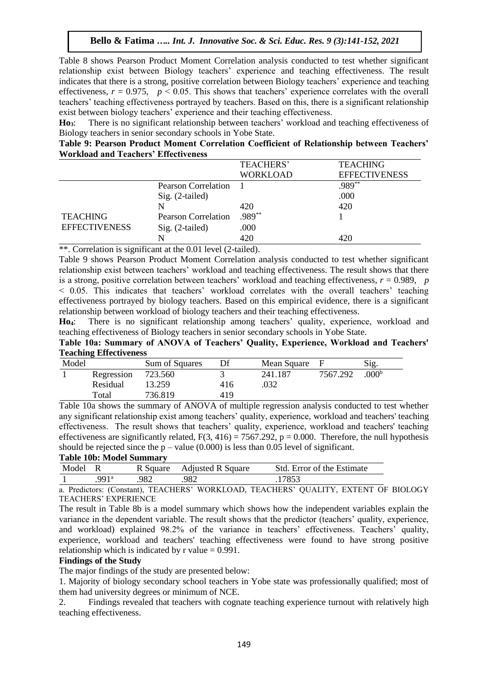Table 8 shows Pearson Product Moment Correlation analysis conducted to test whether significant relationship exist between Biology teachers' experience and teaching effectiveness. The result indicates that there is a strong, positive correlation between Biology teachers' experience and teaching effectiveness,  $r = 0.975$ ,  $p < 0.05$ . This shows that teachers' experience correlates with the overall teachers' teaching effectiveness portrayed by teachers. Based on this, there is a significant relationship exist between biology teachers' experience and their teaching effectiveness.

**Ho3**: There is no significant relationship between teachers' workload and teaching effectiveness of Biology teachers in senior secondary schools in Yobe State.

#### **Table 9: Pearson Product Moment Correlation Coefficient of Relationship between Teachers' Workload and Teachers' Effectiveness**

|                      |                     | <b>TEACHERS'</b> | <b>TEACHING</b>      |
|----------------------|---------------------|------------------|----------------------|
|                      |                     | WORKLOAD         | <b>EFFECTIVENESS</b> |
|                      | Pearson Correlation |                  | .989**               |
|                      | $Sig. (2-tailed)$   |                  | .000                 |
|                      | N                   | 420              | 420                  |
| <b>TEACHING</b>      | Pearson Correlation | .989**           |                      |
| <b>EFFECTIVENESS</b> | $Sig. (2-tailed)$   | .000             |                      |
|                      | N                   | 420              | 420                  |

\*\*. Correlation is significant at the 0.01 level (2-tailed).

Table 9 shows Pearson Product Moment Correlation analysis conducted to test whether significant relationship exist between teachers' workload and teaching effectiveness. The result shows that there is a strong, positive correlation between teachers' workload and teaching effectiveness,  $r = 0.989$ , *p* < 0.05. This indicates that teachers' workload correlates with the overall teachers' teaching effectiveness portrayed by biology teachers. Based on this empirical evidence, there is a significant relationship between workload of biology teachers and their teaching effectiveness.

**Ho4**: There is no significant relationship among teachers' quality, experience, workload and teaching effectiveness of Biology teachers in senior secondary schools in Yobe State.

**Table 10a: Summary of ANOVA of Teachers' Quality, Experience, Workload and Teachers' Teaching Effectiveness**

| Model |            | Sum of Squares |     | Mean Square |          | Sig.             |
|-------|------------|----------------|-----|-------------|----------|------------------|
|       | Regression | 723.560        |     | 241.187     | 7567.292 | 000 <sup>b</sup> |
|       | Residual   | 13.259         | 416 | .032        |          |                  |
|       | Total      | 736.819        | 419 |             |          |                  |

Table 10a shows the summary of ANOVA of multiple regression analysis conducted to test whether any significant relationship exist among teachers' quality, experience, workload and teachers' teaching effectiveness. The result shows that teachers' quality, experience, workload and teachers' teaching effectiveness are significantly related,  $F(3, 416) = 7567.292$ ,  $p = 0.000$ . Therefore, the null hypothesis should be rejected since the  $p$  – value (0.000) is less than 0.05 level of significant.

### **Table 10b: Model Summary**

| Model |      | R Square | <b>Adjusted R Square</b> | Std. Error of the Estimate |
|-------|------|----------|--------------------------|----------------------------|
|       | QQ1a | 982      | 982                      | $1785^\circ$               |

a. Predictors: (Constant), TEACHERS' WORKLOAD, TEACHERS' QUALITY, EXTENT OF BIOLOGY TEACHERS' EXPERIENCE

The result in Table 8b is a model summary which shows how the independent variables explain the variance in the dependent variable. The result shows that the predictor (teachers' quality, experience, and workload) explained 98.2% of the variance in teachers' effectiveness. Teachers' quality, experience, workload and teachers' teaching effectiveness were found to have strong positive relationship which is indicated by r value  $= 0.991$ .

### **Findings of the Study**

The major findings of the study are presented below:

1. Majority of biology secondary school teachers in Yobe state was professionally qualified; most of them had university degrees or minimum of NCE.

2. Findings revealed that teachers with cognate teaching experience turnout with relatively high teaching effectiveness.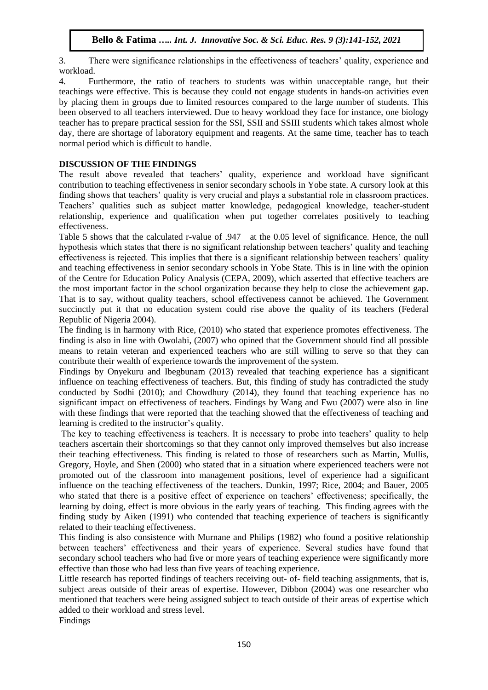3. There were significance relationships in the effectiveness of teachers' quality, experience and workload.

4. Furthermore, the ratio of teachers to students was within unacceptable range, but their teachings were effective. This is because they could not engage students in hands-on activities even by placing them in groups due to limited resources compared to the large number of students. This been observed to all teachers interviewed. Due to heavy workload they face for instance, one biology teacher has to prepare practical session for the SSI, SSII and SSIII students which takes almost whole day, there are shortage of laboratory equipment and reagents. At the same time, teacher has to teach normal period which is difficult to handle.

# **DISCUSSION OF THE FINDINGS**

The result above revealed that teachers' quality, experience and workload have significant contribution to teaching effectiveness in senior secondary schools in Yobe state. A cursory look at this finding shows that teachers' quality is very crucial and plays a substantial role in classroom practices. Teachers' qualities such as subject matter knowledge, pedagogical knowledge, teacher-student relationship, experience and qualification when put together correlates positively to teaching effectiveness.

Table 5 shows that the calculated r-value of .947 at the 0.05 level of significance. Hence, the null hypothesis which states that there is no significant relationship between teachers' quality and teaching effectiveness is rejected. This implies that there is a significant relationship between teachers' quality and teaching effectiveness in senior secondary schools in Yobe State. This is in line with the opinion of the Centre for Education Policy Analysis (CEPA, 2009), which asserted that effective teachers are the most important factor in the school organization because they help to close the achievement gap. That is to say, without quality teachers, school effectiveness cannot be achieved. The Government succinctly put it that no education system could rise above the quality of its teachers (Federal Republic of Nigeria 2004).

The finding is in harmony with Rice, (2010) who stated that experience promotes effectiveness. The finding is also in line with Owolabi, (2007) who opined that the Government should find all possible means to retain veteran and experienced teachers who are still willing to serve so that they can contribute their wealth of experience towards the improvement of the system.

Findings by Onyekuru and Ibegbunam (2013) revealed that teaching experience has a significant influence on teaching effectiveness of teachers. But, this finding of study has contradicted the study conducted by Sodhi (2010); and Chowdhury (2014), they found that teaching experience has no significant impact on effectiveness of teachers. Findings by Wang and Fwu (2007) were also in line with these findings that were reported that the teaching showed that the effectiveness of teaching and learning is credited to the instructor's quality.

The key to teaching effectiveness is teachers. It is necessary to probe into teachers' quality to help teachers ascertain their shortcomings so that they cannot only improved themselves but also increase their teaching effectiveness. This finding is related to those of researchers such as Martin, Mullis, Gregory, Hoyle, and Shen (2000) who stated that in a situation where experienced teachers were not promoted out of the classroom into management positions, level of experience had a significant influence on the teaching effectiveness of the teachers. Dunkin, 1997; Rice, 2004; and Bauer, 2005 who stated that there is a positive effect of experience on teachers' effectiveness; specifically, the learning by doing, effect is more obvious in the early years of teaching. This finding agrees with the finding study by Aiken (1991) who contended that teaching experience of teachers is significantly related to their teaching effectiveness.

This finding is also consistence with Murnane and Philips (1982) who found a positive relationship between teachers' effectiveness and their years of experience. Several studies have found that secondary school teachers who had five or more years of teaching experience were significantly more effective than those who had less than five years of teaching experience.

Little research has reported findings of teachers receiving out- of- field teaching assignments, that is, subject areas outside of their areas of expertise. However, Dibbon (2004) was one researcher who mentioned that teachers were being assigned subject to teach outside of their areas of expertise which added to their workload and stress level.

Findings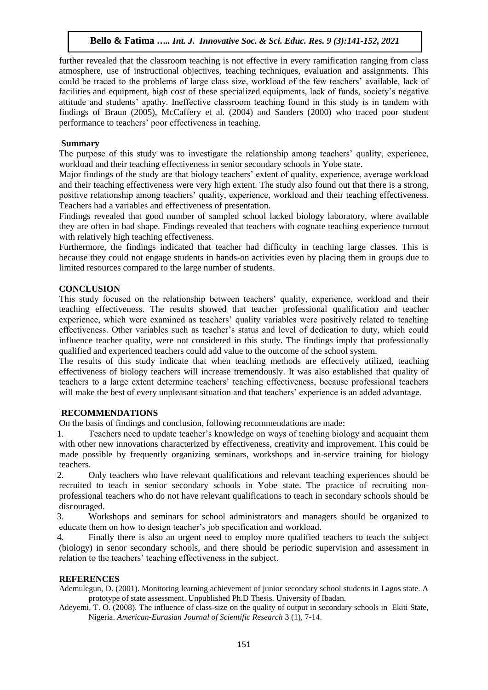further revealed that the classroom teaching is not effective in every ramification ranging from class atmosphere, use of instructional objectives, teaching techniques, evaluation and assignments. This could be traced to the problems of large class size, workload of the few teachers' available, lack of facilities and equipment, high cost of these specialized equipments, lack of funds, society's negative attitude and students' apathy. Ineffective classroom teaching found in this study is in tandem with findings of Braun (2005), McCaffery et al. (2004) and Sanders (2000) who traced poor student performance to teachers' poor effectiveness in teaching.

### **Summary**

The purpose of this study was to investigate the relationship among teachers' quality, experience, workload and their teaching effectiveness in senior secondary schools in Yobe state.

Major findings of the study are that biology teachers' extent of quality, experience, average workload and their teaching effectiveness were very high extent. The study also found out that there is a strong, positive relationship among teachers' quality, experience, workload and their teaching effectiveness. Teachers had a variables and effectiveness of presentation.

Findings revealed that good number of sampled school lacked biology laboratory, where available they are often in bad shape. Findings revealed that teachers with cognate teaching experience turnout with relatively high teaching effectiveness.

Furthermore, the findings indicated that teacher had difficulty in teaching large classes. This is because they could not engage students in hands-on activities even by placing them in groups due to limited resources compared to the large number of students.

# **CONCLUSION**

This study focused on the relationship between teachers' quality, experience, workload and their teaching effectiveness. The results showed that teacher professional qualification and teacher experience, which were examined as teachers' quality variables were positively related to teaching effectiveness. Other variables such as teacher's status and level of dedication to duty, which could influence teacher quality, were not considered in this study. The findings imply that professionally qualified and experienced teachers could add value to the outcome of the school system.

The results of this study indicate that when teaching methods are effectively utilized, teaching effectiveness of biology teachers will increase tremendously. It was also established that quality of teachers to a large extent determine teachers' teaching effectiveness, because professional teachers will make the best of every unpleasant situation and that teachers' experience is an added advantage.

### **RECOMMENDATIONS**

On the basis of findings and conclusion, following recommendations are made:

1. Teachers need to update teacher's knowledge on ways of teaching biology and acquaint them with other new innovations characterized by effectiveness, creativity and improvement. This could be made possible by frequently organizing seminars, workshops and in-service training for biology teachers.

2. Only teachers who have relevant qualifications and relevant teaching experiences should be recruited to teach in senior secondary schools in Yobe state. The practice of recruiting nonprofessional teachers who do not have relevant qualifications to teach in secondary schools should be discouraged.

3. Workshops and seminars for school administrators and managers should be organized to educate them on how to design teacher's job specification and workload.

4. Finally there is also an urgent need to employ more qualified teachers to teach the subject (biology) in senor secondary schools, and there should be periodic supervision and assessment in relation to the teachers' teaching effectiveness in the subject.

### **REFERENCES**

Ademulegun, D. (2001). Monitoring learning achievement of junior secondary school students in Lagos state. A prototype of state assessment. Unpublished Ph.D Thesis. University of Ibadan.

Adeyemi, T. O. (2008). The influence of class-size on the quality of output in secondary schools in Ekiti State, Nigeria. *American-Eurasian Journal of Scientific Research* 3 (1), 7-14.